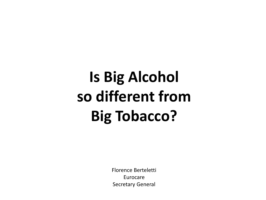## **Is Big Alcohol so different from Big Tobacco?**

Florence Berteletti Eurocare Secretary General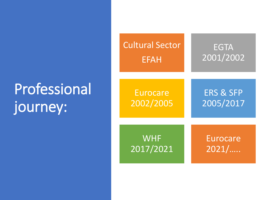## Professional journey:

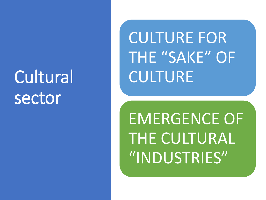## **Cultural** sector

CULTURE FOR THE "SAKE" OF **CULTURE** 

EMERGENCE OF THE CULTURAL "INDUSTRIES"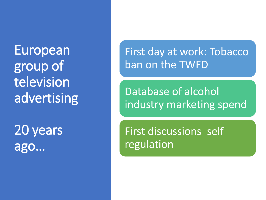European group of television advertising

20 years ago…

First day at work: Tobacco ban on the TWFD

Database of alcohol industry marketing spend

First discussions self regulation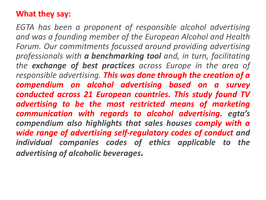#### **What they say:**

*EGTA has been a proponent of responsible alcohol advertising and was a founding member of the European Alcohol and Health Forum. Our commitments focussed around providing advertising professionals with a benchmarking tool and, in turn, facilitating the exchange of best practices across Europe in the area of responsible advertising. This was done through the creation of a compendium on alcohol advertising based on a survey conducted across 21 European countries. This study found TV advertising to be the most restricted means of marketing communication with regards to alcohol advertising. egta's compendium also highlights that sales houses comply with a wide range of advertising self‐regulatory codes of conduct and individual companies codes of ethics applicable to the advertising of alcoholic beverages.*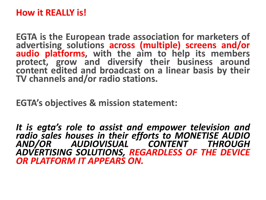#### **How it REALLY is!**

**EGTA is the European trade association for marketers of advertising solutions across (multiple) screens and/or audio platforms, with the aim to help its members protect, grow and diversify their business around content edited and broadcast on a linear basis by their TV channels and/or radio stations.**

**EGTA's objectives & mission statement:**

*It is egta's role to assist and empower television and radio sales houses in their efforts to MONETISE AUDIO AND/OR AUDIOVISUAL CONTENT THROUGH ADVERTISING SOLUTIONS, REGARDLESS OF THE DEVICE OR PLATFORM IT APPEARS ON.*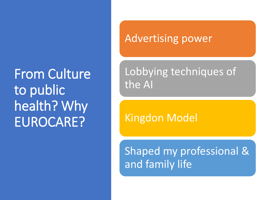## From Culture to public health? Why EUROCARE?

Advertising power

Lobbying techniques of the AI

Kingdon Model

Shaped my professional & and family life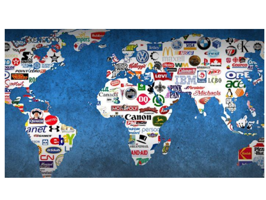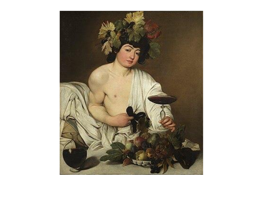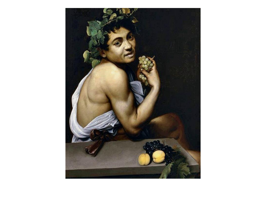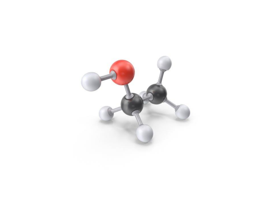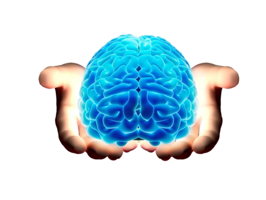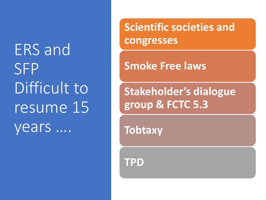ERS and SFP Difficult to resume 15 years ….

**Scientific societies and congresses**

**Smoke Free laws**

**Stakeholder's dialogue group & FCTC 5.3**

**Tobtaxy**

**TPD**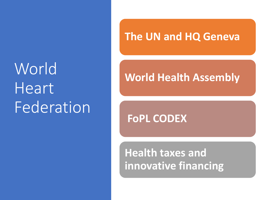## World Heart Federation

#### **The UN and HQ Geneva**

#### **World Health Assembly**

#### **FoPL CODEX**

### **Health taxes and innovative financing**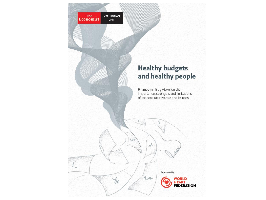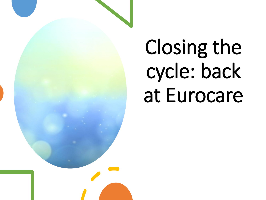

# Closing the cycle: back at Eurocare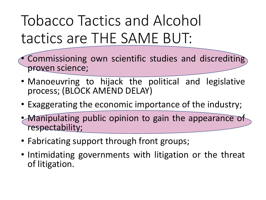Tobacco Tactics and Alcohol tactics are THE SAME BUT:

- Commissioning own scientific studies and discrediting proven science;
- Manoeuvring to hijack the political and legislative process; (BLOCK AMEND DELAY)
- Exaggerating the economic importance of the industry;
- Manipulating public opinion to gain the appearance of respectability;
- Fabricating support through front groups;
- Intimidating governments with litigation or the threat of litigation.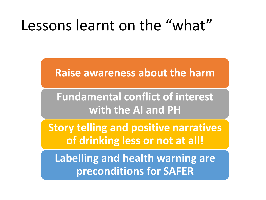## Lessons learnt on the "what"

**Raise awareness about the harm**

**Fundamental conflict of interest with the AI and PH**

**Story telling and positive narratives of drinking less or not at all!**

**Labelling and health warning are preconditions for SAFER**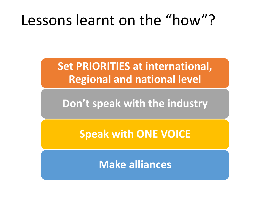## Lessons learnt on the "how"?

**Set PRIORITIES at international, Regional and national level**

**Don't speak with the industry**

**Speak with ONE VOICE**

**Make alliances**